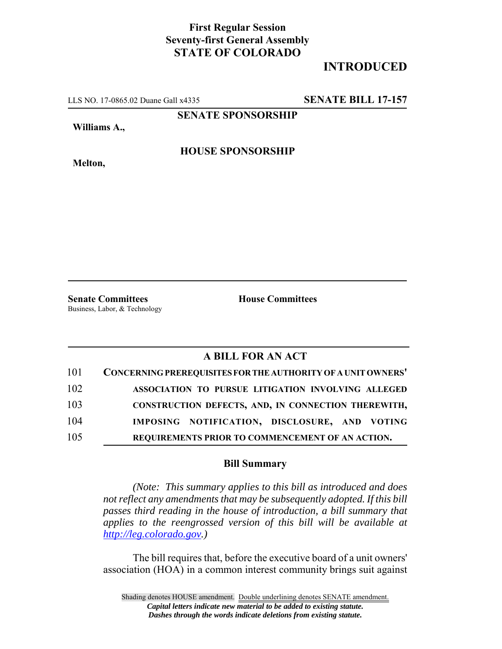## **First Regular Session Seventy-first General Assembly STATE OF COLORADO**

## **INTRODUCED**

LLS NO. 17-0865.02 Duane Gall x4335 **SENATE BILL 17-157**

**SENATE SPONSORSHIP**

**Williams A.,**

**HOUSE SPONSORSHIP**

**Melton,**

**Senate Committees House Committees** Business, Labor, & Technology

## **A BILL FOR AN ACT**

| 101 | CONCERNING PREREQUISITES FOR THE AUTHORITY OF A UNIT OWNERS' |
|-----|--------------------------------------------------------------|
| 102 | ASSOCIATION TO PURSUE LITIGATION INVOLVING ALLEGED           |
| 103 | CONSTRUCTION DEFECTS, AND, IN CONNECTION THEREWITH,          |
| 104 | IMPOSING NOTIFICATION, DISCLOSURE, AND VOTING                |
| 105 | REQUIREMENTS PRIOR TO COMMENCEMENT OF AN ACTION.             |

## **Bill Summary**

*(Note: This summary applies to this bill as introduced and does not reflect any amendments that may be subsequently adopted. If this bill passes third reading in the house of introduction, a bill summary that applies to the reengrossed version of this bill will be available at http://leg.colorado.gov.)*

The bill requires that, before the executive board of a unit owners' association (HOA) in a common interest community brings suit against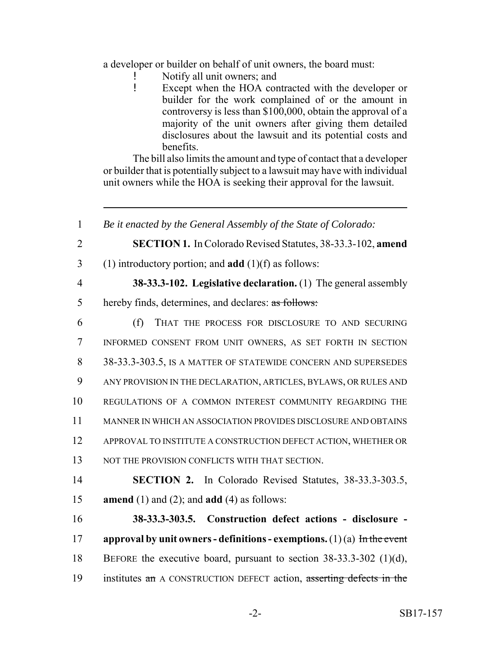a developer or builder on behalf of unit owners, the board must:

- Notify all unit owners; and
- ! Except when the HOA contracted with the developer or builder for the work complained of or the amount in controversy is less than \$100,000, obtain the approval of a majority of the unit owners after giving them detailed disclosures about the lawsuit and its potential costs and benefits.

The bill also limits the amount and type of contact that a developer or builder that is potentially subject to a lawsuit may have with individual unit owners while the HOA is seeking their approval for the lawsuit.

 *Be it enacted by the General Assembly of the State of Colorado:* **SECTION 1.** In Colorado Revised Statutes, 38-33.3-102, **amend** (1) introductory portion; and **add** (1)(f) as follows: **38-33.3-102. Legislative declaration.** (1) The general assembly hereby finds, determines, and declares: as follows: (f) THAT THE PROCESS FOR DISCLOSURE TO AND SECURING INFORMED CONSENT FROM UNIT OWNERS, AS SET FORTH IN SECTION 38-33.3-303.5, IS A MATTER OF STATEWIDE CONCERN AND SUPERSEDES ANY PROVISION IN THE DECLARATION, ARTICLES, BYLAWS, OR RULES AND REGULATIONS OF A COMMON INTEREST COMMUNITY REGARDING THE MANNER IN WHICH AN ASSOCIATION PROVIDES DISCLOSURE AND OBTAINS APPROVAL TO INSTITUTE A CONSTRUCTION DEFECT ACTION, WHETHER OR 13 NOT THE PROVISION CONFLICTS WITH THAT SECTION. **SECTION 2.** In Colorado Revised Statutes, 38-33.3-303.5, **amend** (1) and (2); and **add** (4) as follows: **38-33.3-303.5. Construction defect actions - disclosure - approval by unit owners - definitions - exemptions.** (1) (a) In the event BEFORE the executive board, pursuant to section 38-33.3-302 (1)(d), 19 institutes an A CONSTRUCTION DEFECT action, asserting defects in the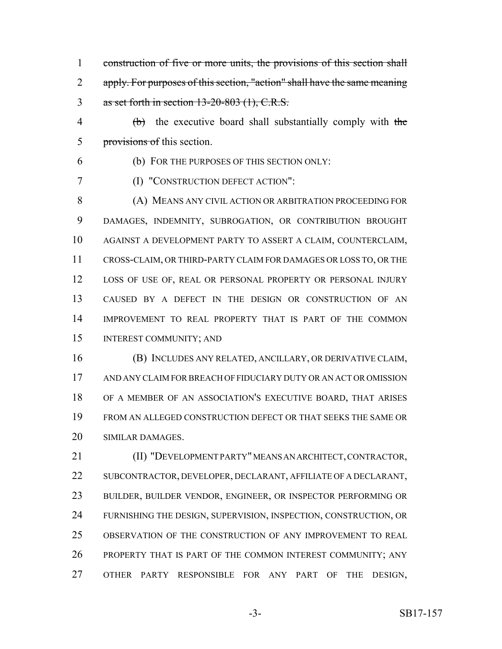- 1 construction of five or more units, the provisions of this section shall apply. For purposes of this section, "action" shall have the same meaning as set forth in section 13-20-803 (1), C.R.S.
- $\theta$  (b) the executive board shall substantially comply with the provisions of this section.
- 

(b) FOR THE PURPOSES OF THIS SECTION ONLY:

(I) "CONSTRUCTION DEFECT ACTION":

 (A) MEANS ANY CIVIL ACTION OR ARBITRATION PROCEEDING FOR DAMAGES, INDEMNITY, SUBROGATION, OR CONTRIBUTION BROUGHT AGAINST A DEVELOPMENT PARTY TO ASSERT A CLAIM, COUNTERCLAIM, CROSS-CLAIM, OR THIRD-PARTY CLAIM FOR DAMAGES OR LOSS TO, OR THE LOSS OF USE OF, REAL OR PERSONAL PROPERTY OR PERSONAL INJURY CAUSED BY A DEFECT IN THE DESIGN OR CONSTRUCTION OF AN IMPROVEMENT TO REAL PROPERTY THAT IS PART OF THE COMMON INTEREST COMMUNITY; AND

 (B) INCLUDES ANY RELATED, ANCILLARY, OR DERIVATIVE CLAIM, AND ANY CLAIM FOR BREACH OF FIDUCIARY DUTY OR AN ACT OR OMISSION OF A MEMBER OF AN ASSOCIATION'S EXECUTIVE BOARD, THAT ARISES FROM AN ALLEGED CONSTRUCTION DEFECT OR THAT SEEKS THE SAME OR SIMILAR DAMAGES.

 (II) "DEVELOPMENT PARTY" MEANS AN ARCHITECT, CONTRACTOR, SUBCONTRACTOR, DEVELOPER, DECLARANT, AFFILIATE OF A DECLARANT, BUILDER, BUILDER VENDOR, ENGINEER, OR INSPECTOR PERFORMING OR FURNISHING THE DESIGN, SUPERVISION, INSPECTION, CONSTRUCTION, OR OBSERVATION OF THE CONSTRUCTION OF ANY IMPROVEMENT TO REAL PROPERTY THAT IS PART OF THE COMMON INTEREST COMMUNITY; ANY OTHER PARTY RESPONSIBLE FOR ANY PART OF THE DESIGN,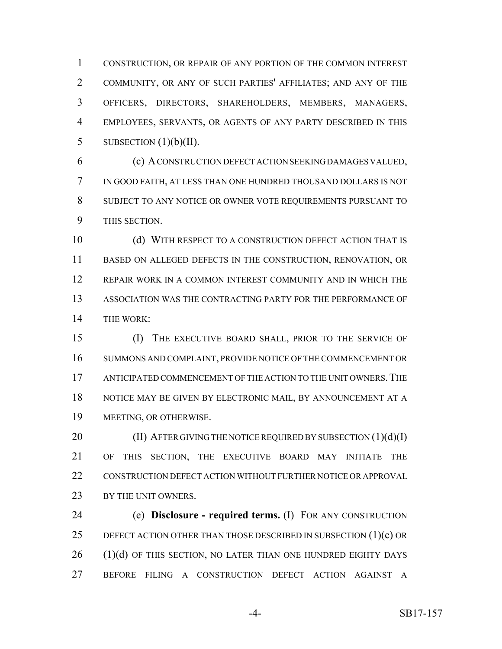CONSTRUCTION, OR REPAIR OF ANY PORTION OF THE COMMON INTEREST COMMUNITY, OR ANY OF SUCH PARTIES' AFFILIATES; AND ANY OF THE OFFICERS, DIRECTORS, SHAREHOLDERS, MEMBERS, MANAGERS, EMPLOYEES, SERVANTS, OR AGENTS OF ANY PARTY DESCRIBED IN THIS 5 SUBSECTION  $(1)(b)(II)$ .

 (c) A CONSTRUCTION DEFECT ACTION SEEKING DAMAGES VALUED, IN GOOD FAITH, AT LESS THAN ONE HUNDRED THOUSAND DOLLARS IS NOT SUBJECT TO ANY NOTICE OR OWNER VOTE REQUIREMENTS PURSUANT TO THIS SECTION.

 (d) WITH RESPECT TO A CONSTRUCTION DEFECT ACTION THAT IS BASED ON ALLEGED DEFECTS IN THE CONSTRUCTION, RENOVATION, OR REPAIR WORK IN A COMMON INTEREST COMMUNITY AND IN WHICH THE ASSOCIATION WAS THE CONTRACTING PARTY FOR THE PERFORMANCE OF THE WORK:

 (I) THE EXECUTIVE BOARD SHALL, PRIOR TO THE SERVICE OF SUMMONS AND COMPLAINT, PROVIDE NOTICE OF THE COMMENCEMENT OR ANTICIPATED COMMENCEMENT OF THE ACTION TO THE UNIT OWNERS.THE NOTICE MAY BE GIVEN BY ELECTRONIC MAIL, BY ANNOUNCEMENT AT A MEETING, OR OTHERWISE.

20 (II) AFTER GIVING THE NOTICE REQUIRED BY SUBSECTION (1)(d)(I) OF THIS SECTION, THE EXECUTIVE BOARD MAY INITIATE THE 22 CONSTRUCTION DEFECT ACTION WITHOUT FURTHER NOTICE OR APPROVAL 23 BY THE UNIT OWNERS.

 (e) **Disclosure - required terms.** (I) FOR ANY CONSTRUCTION DEFECT ACTION OTHER THAN THOSE DESCRIBED IN SUBSECTION (1)(c) OR (1)(d) OF THIS SECTION, NO LATER THAN ONE HUNDRED EIGHTY DAYS BEFORE FILING A CONSTRUCTION DEFECT ACTION AGAINST A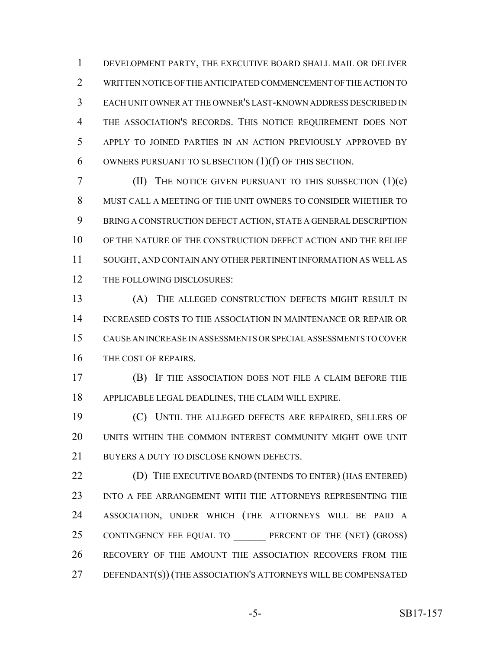DEVELOPMENT PARTY, THE EXECUTIVE BOARD SHALL MAIL OR DELIVER WRITTEN NOTICE OF THE ANTICIPATED COMMENCEMENT OF THE ACTION TO EACH UNIT OWNER AT THE OWNER'S LAST-KNOWN ADDRESS DESCRIBED IN THE ASSOCIATION'S RECORDS. THIS NOTICE REQUIREMENT DOES NOT APPLY TO JOINED PARTIES IN AN ACTION PREVIOUSLY APPROVED BY OWNERS PURSUANT TO SUBSECTION (1)(f) OF THIS SECTION.

 (II) THE NOTICE GIVEN PURSUANT TO THIS SUBSECTION (1)(e) MUST CALL A MEETING OF THE UNIT OWNERS TO CONSIDER WHETHER TO BRING A CONSTRUCTION DEFECT ACTION, STATE A GENERAL DESCRIPTION OF THE NATURE OF THE CONSTRUCTION DEFECT ACTION AND THE RELIEF SOUGHT, AND CONTAIN ANY OTHER PERTINENT INFORMATION AS WELL AS 12 THE FOLLOWING DISCLOSURES:

 (A) THE ALLEGED CONSTRUCTION DEFECTS MIGHT RESULT IN INCREASED COSTS TO THE ASSOCIATION IN MAINTENANCE OR REPAIR OR CAUSE AN INCREASE IN ASSESSMENTS OR SPECIAL ASSESSMENTS TO COVER THE COST OF REPAIRS.

 (B) IF THE ASSOCIATION DOES NOT FILE A CLAIM BEFORE THE APPLICABLE LEGAL DEADLINES, THE CLAIM WILL EXPIRE.

 (C) UNTIL THE ALLEGED DEFECTS ARE REPAIRED, SELLERS OF UNITS WITHIN THE COMMON INTEREST COMMUNITY MIGHT OWE UNIT 21 BUYERS A DUTY TO DISCLOSE KNOWN DEFECTS.

22 (D) THE EXECUTIVE BOARD (INTENDS TO ENTER) (HAS ENTERED) 23 INTO A FEE ARRANGEMENT WITH THE ATTORNEYS REPRESENTING THE ASSOCIATION, UNDER WHICH (THE ATTORNEYS WILL BE PAID A 25 CONTINGENCY FEE EQUAL TO PERCENT OF THE (NET) (GROSS) RECOVERY OF THE AMOUNT THE ASSOCIATION RECOVERS FROM THE DEFENDANT(S)) (THE ASSOCIATION'S ATTORNEYS WILL BE COMPENSATED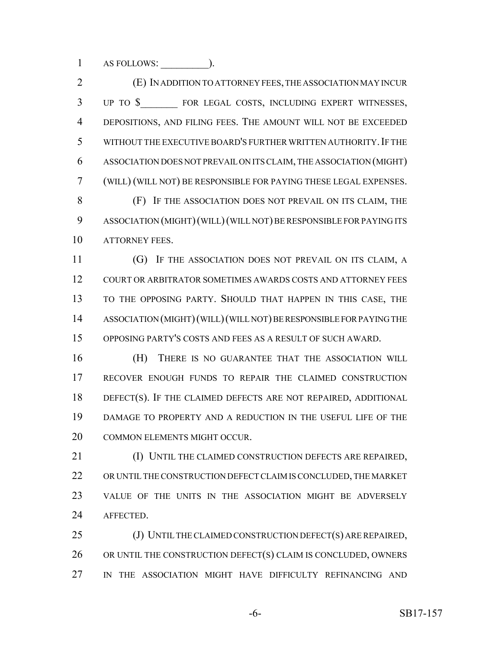AS FOLLOWS: \_\_\_\_\_\_\_\_\_).

 (E) IN ADDITION TO ATTORNEY FEES, THE ASSOCIATION MAY INCUR 3 UP TO \$ FOR LEGAL COSTS, INCLUDING EXPERT WITNESSES, DEPOSITIONS, AND FILING FEES. THE AMOUNT WILL NOT BE EXCEEDED WITHOUT THE EXECUTIVE BOARD'S FURTHER WRITTEN AUTHORITY.IF THE ASSOCIATION DOES NOT PREVAIL ON ITS CLAIM, THE ASSOCIATION (MIGHT) (WILL) (WILL NOT) BE RESPONSIBLE FOR PAYING THESE LEGAL EXPENSES. (F) IF THE ASSOCIATION DOES NOT PREVAIL ON ITS CLAIM, THE ASSOCIATION (MIGHT)(WILL)(WILL NOT) BE RESPONSIBLE FOR PAYING ITS 10 ATTORNEY FEES. 11 (G) IF THE ASSOCIATION DOES NOT PREVAIL ON ITS CLAIM, A COURT OR ARBITRATOR SOMETIMES AWARDS COSTS AND ATTORNEY FEES

 TO THE OPPOSING PARTY. SHOULD THAT HAPPEN IN THIS CASE, THE ASSOCIATION (MIGHT)(WILL)(WILL NOT) BE RESPONSIBLE FOR PAYING THE OPPOSING PARTY'S COSTS AND FEES AS A RESULT OF SUCH AWARD.

 (H) THERE IS NO GUARANTEE THAT THE ASSOCIATION WILL RECOVER ENOUGH FUNDS TO REPAIR THE CLAIMED CONSTRUCTION DEFECT(S). IF THE CLAIMED DEFECTS ARE NOT REPAIRED, ADDITIONAL DAMAGE TO PROPERTY AND A REDUCTION IN THE USEFUL LIFE OF THE COMMON ELEMENTS MIGHT OCCUR.

 (I) UNTIL THE CLAIMED CONSTRUCTION DEFECTS ARE REPAIRED, OR UNTIL THE CONSTRUCTION DEFECT CLAIM IS CONCLUDED, THE MARKET VALUE OF THE UNITS IN THE ASSOCIATION MIGHT BE ADVERSELY AFFECTED.

25 (J) UNTIL THE CLAIMED CONSTRUCTION DEFECT(S) ARE REPAIRED, OR UNTIL THE CONSTRUCTION DEFECT(S) CLAIM IS CONCLUDED, OWNERS IN THE ASSOCIATION MIGHT HAVE DIFFICULTY REFINANCING AND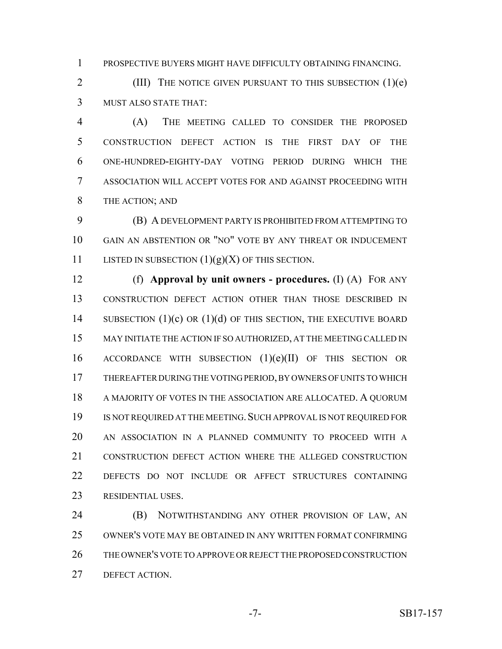PROSPECTIVE BUYERS MIGHT HAVE DIFFICULTY OBTAINING FINANCING.

 (III) THE NOTICE GIVEN PURSUANT TO THIS SUBSECTION (1)(e) MUST ALSO STATE THAT:

 (A) THE MEETING CALLED TO CONSIDER THE PROPOSED CONSTRUCTION DEFECT ACTION IS THE FIRST DAY OF THE ONE-HUNDRED-EIGHTY-DAY VOTING PERIOD DURING WHICH THE ASSOCIATION WILL ACCEPT VOTES FOR AND AGAINST PROCEEDING WITH 8 THE ACTION; AND

 (B) A DEVELOPMENT PARTY IS PROHIBITED FROM ATTEMPTING TO GAIN AN ABSTENTION OR "NO" VOTE BY ANY THREAT OR INDUCEMENT 11 LISTED IN SUBSECTION  $(1)(g)(X)$  OF THIS SECTION.

 (f) **Approval by unit owners - procedures.** (I) (A) FOR ANY CONSTRUCTION DEFECT ACTION OTHER THAN THOSE DESCRIBED IN 14 SUBSECTION  $(1)(c)$  OR  $(1)(d)$  OF THIS SECTION, THE EXECUTIVE BOARD MAY INITIATE THE ACTION IF SO AUTHORIZED, AT THE MEETING CALLED IN ACCORDANCE WITH SUBSECTION (1)(e)(II) OF THIS SECTION OR THEREAFTER DURING THE VOTING PERIOD, BY OWNERS OF UNITS TO WHICH A MAJORITY OF VOTES IN THE ASSOCIATION ARE ALLOCATED. A QUORUM 19 IS NOT REQUIRED AT THE MEETING. SUCH APPROVAL IS NOT REQUIRED FOR AN ASSOCIATION IN A PLANNED COMMUNITY TO PROCEED WITH A CONSTRUCTION DEFECT ACTION WHERE THE ALLEGED CONSTRUCTION DEFECTS DO NOT INCLUDE OR AFFECT STRUCTURES CONTAINING RESIDENTIAL USES.

**(B) NOTWITHSTANDING ANY OTHER PROVISION OF LAW, AN**  OWNER'S VOTE MAY BE OBTAINED IN ANY WRITTEN FORMAT CONFIRMING THE OWNER'S VOTE TO APPROVE OR REJECT THE PROPOSED CONSTRUCTION DEFECT ACTION.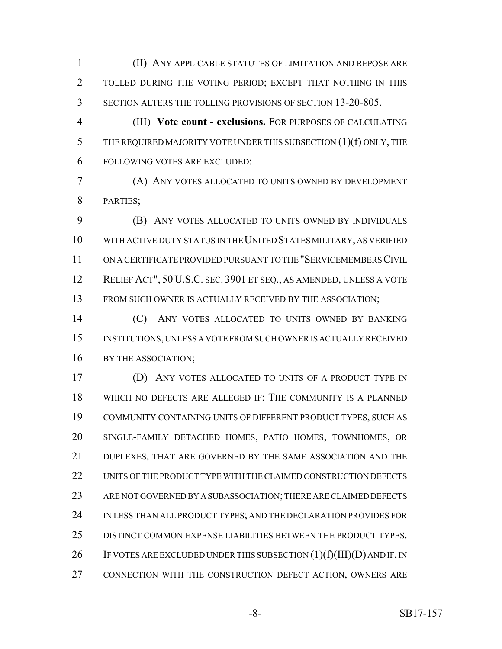(II) ANY APPLICABLE STATUTES OF LIMITATION AND REPOSE ARE TOLLED DURING THE VOTING PERIOD; EXCEPT THAT NOTHING IN THIS SECTION ALTERS THE TOLLING PROVISIONS OF SECTION 13-20-805.

 (III) **Vote count - exclusions.** FOR PURPOSES OF CALCULATING THE REQUIRED MAJORITY VOTE UNDER THIS SUBSECTION (1)(f) ONLY, THE FOLLOWING VOTES ARE EXCLUDED:

 (A) ANY VOTES ALLOCATED TO UNITS OWNED BY DEVELOPMENT PARTIES;

 (B) ANY VOTES ALLOCATED TO UNITS OWNED BY INDIVIDUALS WITH ACTIVE DUTY STATUS IN THE UNITED STATES MILITARY, AS VERIFIED ON A CERTIFICATE PROVIDED PURSUANT TO THE "SERVICEMEMBERS CIVIL RELIEF ACT", 50 U.S.C. SEC. 3901 ET SEQ., AS AMENDED, UNLESS A VOTE 13 FROM SUCH OWNER IS ACTUALLY RECEIVED BY THE ASSOCIATION;

 (C) ANY VOTES ALLOCATED TO UNITS OWNED BY BANKING INSTITUTIONS, UNLESS A VOTE FROM SUCH OWNER IS ACTUALLY RECEIVED 16 BY THE ASSOCIATION;

 (D) ANY VOTES ALLOCATED TO UNITS OF A PRODUCT TYPE IN WHICH NO DEFECTS ARE ALLEGED IF: THE COMMUNITY IS A PLANNED COMMUNITY CONTAINING UNITS OF DIFFERENT PRODUCT TYPES, SUCH AS SINGLE-FAMILY DETACHED HOMES, PATIO HOMES, TOWNHOMES, OR DUPLEXES, THAT ARE GOVERNED BY THE SAME ASSOCIATION AND THE UNITS OF THE PRODUCT TYPE WITH THE CLAIMED CONSTRUCTION DEFECTS ARE NOT GOVERNED BY A SUBASSOCIATION; THERE ARE CLAIMED DEFECTS IN LESS THAN ALL PRODUCT TYPES; AND THE DECLARATION PROVIDES FOR DISTINCT COMMON EXPENSE LIABILITIES BETWEEN THE PRODUCT TYPES. 26 IF VOTES ARE EXCLUDED UNDER THIS SUBSECTION  $(1)(f)(III)(D)$  and IF, IN CONNECTION WITH THE CONSTRUCTION DEFECT ACTION, OWNERS ARE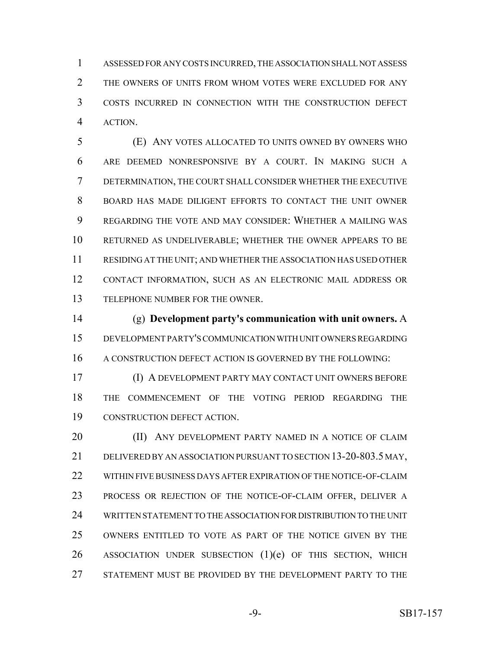ASSESSED FOR ANY COSTS INCURRED, THE ASSOCIATION SHALL NOT ASSESS 2 THE OWNERS OF UNITS FROM WHOM VOTES WERE EXCLUDED FOR ANY COSTS INCURRED IN CONNECTION WITH THE CONSTRUCTION DEFECT ACTION.

 (E) ANY VOTES ALLOCATED TO UNITS OWNED BY OWNERS WHO ARE DEEMED NONRESPONSIVE BY A COURT. IN MAKING SUCH A DETERMINATION, THE COURT SHALL CONSIDER WHETHER THE EXECUTIVE BOARD HAS MADE DILIGENT EFFORTS TO CONTACT THE UNIT OWNER REGARDING THE VOTE AND MAY CONSIDER: WHETHER A MAILING WAS RETURNED AS UNDELIVERABLE; WHETHER THE OWNER APPEARS TO BE RESIDING AT THE UNIT; AND WHETHER THE ASSOCIATION HAS USED OTHER CONTACT INFORMATION, SUCH AS AN ELECTRONIC MAIL ADDRESS OR TELEPHONE NUMBER FOR THE OWNER.

 (g) **Development party's communication with unit owners.** A DEVELOPMENT PARTY'S COMMUNICATION WITH UNIT OWNERS REGARDING A CONSTRUCTION DEFECT ACTION IS GOVERNED BY THE FOLLOWING:

 (I) A DEVELOPMENT PARTY MAY CONTACT UNIT OWNERS BEFORE THE COMMENCEMENT OF THE VOTING PERIOD REGARDING THE CONSTRUCTION DEFECT ACTION.

**(II) ANY DEVELOPMENT PARTY NAMED IN A NOTICE OF CLAIM**  DELIVERED BY AN ASSOCIATION PURSUANT TO SECTION 13-20-803.5 MAY, WITHIN FIVE BUSINESS DAYS AFTER EXPIRATION OF THE NOTICE-OF-CLAIM PROCESS OR REJECTION OF THE NOTICE-OF-CLAIM OFFER, DELIVER A WRITTEN STATEMENT TO THE ASSOCIATION FOR DISTRIBUTION TO THE UNIT OWNERS ENTITLED TO VOTE AS PART OF THE NOTICE GIVEN BY THE 26 ASSOCIATION UNDER SUBSECTION (1)(e) OF THIS SECTION, WHICH STATEMENT MUST BE PROVIDED BY THE DEVELOPMENT PARTY TO THE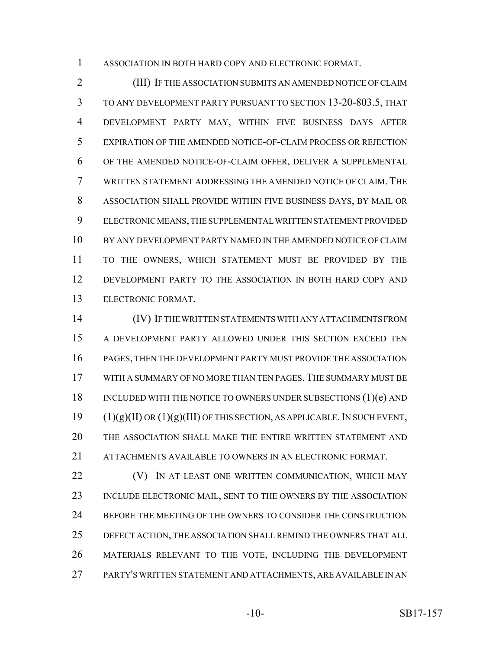ASSOCIATION IN BOTH HARD COPY AND ELECTRONIC FORMAT.

 (III) IF THE ASSOCIATION SUBMITS AN AMENDED NOTICE OF CLAIM TO ANY DEVELOPMENT PARTY PURSUANT TO SECTION 13-20-803.5, THAT DEVELOPMENT PARTY MAY, WITHIN FIVE BUSINESS DAYS AFTER EXPIRATION OF THE AMENDED NOTICE-OF-CLAIM PROCESS OR REJECTION OF THE AMENDED NOTICE-OF-CLAIM OFFER, DELIVER A SUPPLEMENTAL WRITTEN STATEMENT ADDRESSING THE AMENDED NOTICE OF CLAIM. THE ASSOCIATION SHALL PROVIDE WITHIN FIVE BUSINESS DAYS, BY MAIL OR ELECTRONIC MEANS, THE SUPPLEMENTAL WRITTEN STATEMENT PROVIDED BY ANY DEVELOPMENT PARTY NAMED IN THE AMENDED NOTICE OF CLAIM TO THE OWNERS, WHICH STATEMENT MUST BE PROVIDED BY THE DEVELOPMENT PARTY TO THE ASSOCIATION IN BOTH HARD COPY AND ELECTRONIC FORMAT.

 (IV) IF THE WRITTEN STATEMENTS WITH ANY ATTACHMENTS FROM A DEVELOPMENT PARTY ALLOWED UNDER THIS SECTION EXCEED TEN PAGES, THEN THE DEVELOPMENT PARTY MUST PROVIDE THE ASSOCIATION WITH A SUMMARY OF NO MORE THAN TEN PAGES. THE SUMMARY MUST BE 18 INCLUDED WITH THE NOTICE TO OWNERS UNDER SUBSECTIONS (1)(e) AND (1)(g)(II) OR (1)(g)(III) OF THIS SECTION, AS APPLICABLE. IN SUCH EVENT, THE ASSOCIATION SHALL MAKE THE ENTIRE WRITTEN STATEMENT AND ATTACHMENTS AVAILABLE TO OWNERS IN AN ELECTRONIC FORMAT.

**(V)** IN AT LEAST ONE WRITTEN COMMUNICATION, WHICH MAY INCLUDE ELECTRONIC MAIL, SENT TO THE OWNERS BY THE ASSOCIATION 24 BEFORE THE MEETING OF THE OWNERS TO CONSIDER THE CONSTRUCTION DEFECT ACTION, THE ASSOCIATION SHALL REMIND THE OWNERS THAT ALL MATERIALS RELEVANT TO THE VOTE, INCLUDING THE DEVELOPMENT PARTY'S WRITTEN STATEMENT AND ATTACHMENTS, ARE AVAILABLE IN AN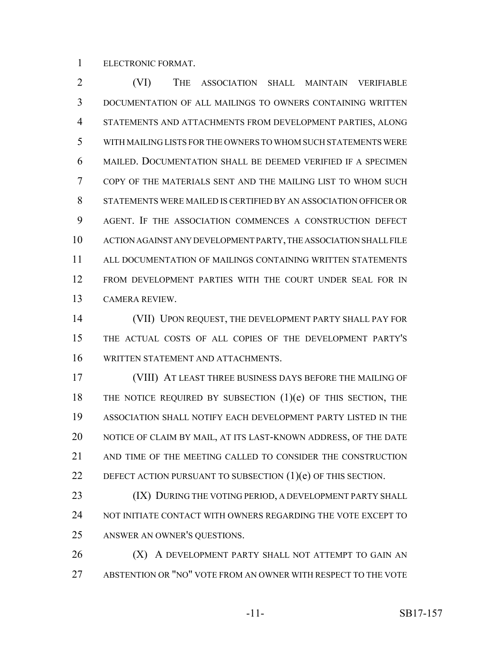ELECTRONIC FORMAT.

 (VI) THE ASSOCIATION SHALL MAINTAIN VERIFIABLE DOCUMENTATION OF ALL MAILINGS TO OWNERS CONTAINING WRITTEN STATEMENTS AND ATTACHMENTS FROM DEVELOPMENT PARTIES, ALONG WITH MAILING LISTS FOR THE OWNERS TO WHOM SUCH STATEMENTS WERE MAILED. DOCUMENTATION SHALL BE DEEMED VERIFIED IF A SPECIMEN COPY OF THE MATERIALS SENT AND THE MAILING LIST TO WHOM SUCH STATEMENTS WERE MAILED IS CERTIFIED BY AN ASSOCIATION OFFICER OR AGENT. IF THE ASSOCIATION COMMENCES A CONSTRUCTION DEFECT ACTION AGAINST ANY DEVELOPMENT PARTY, THE ASSOCIATION SHALL FILE ALL DOCUMENTATION OF MAILINGS CONTAINING WRITTEN STATEMENTS FROM DEVELOPMENT PARTIES WITH THE COURT UNDER SEAL FOR IN CAMERA REVIEW.

 (VII) UPON REQUEST, THE DEVELOPMENT PARTY SHALL PAY FOR THE ACTUAL COSTS OF ALL COPIES OF THE DEVELOPMENT PARTY'S WRITTEN STATEMENT AND ATTACHMENTS.

 (VIII) AT LEAST THREE BUSINESS DAYS BEFORE THE MAILING OF THE NOTICE REQUIRED BY SUBSECTION (1)(e) OF THIS SECTION, THE ASSOCIATION SHALL NOTIFY EACH DEVELOPMENT PARTY LISTED IN THE NOTICE OF CLAIM BY MAIL, AT ITS LAST-KNOWN ADDRESS, OF THE DATE AND TIME OF THE MEETING CALLED TO CONSIDER THE CONSTRUCTION DEFECT ACTION PURSUANT TO SUBSECTION (1)(e) OF THIS SECTION.

23 (IX) DURING THE VOTING PERIOD, A DEVELOPMENT PARTY SHALL 24 NOT INITIATE CONTACT WITH OWNERS REGARDING THE VOTE EXCEPT TO ANSWER AN OWNER'S QUESTIONS.

**(X) A DEVELOPMENT PARTY SHALL NOT ATTEMPT TO GAIN AN** ABSTENTION OR "NO" VOTE FROM AN OWNER WITH RESPECT TO THE VOTE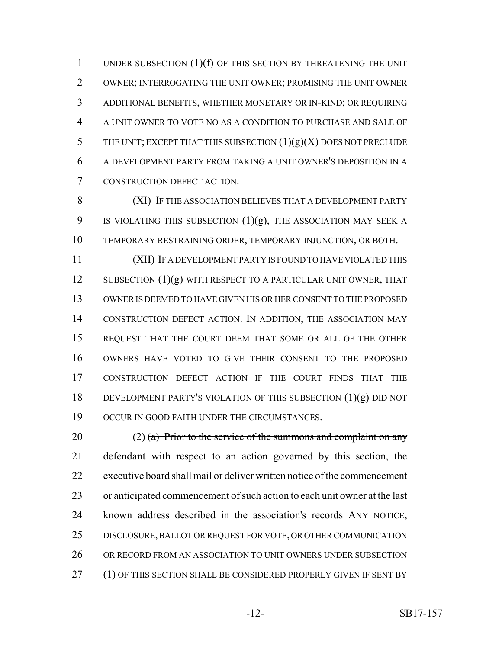1 UNDER SUBSECTION (1)(f) OF THIS SECTION BY THREATENING THE UNIT OWNER; INTERROGATING THE UNIT OWNER; PROMISING THE UNIT OWNER ADDITIONAL BENEFITS, WHETHER MONETARY OR IN-KIND; OR REQUIRING A UNIT OWNER TO VOTE NO AS A CONDITION TO PURCHASE AND SALE OF 5 THE UNIT; EXCEPT THAT THIS SUBSECTION  $(1)(g)(X)$  DOES NOT PRECLUDE A DEVELOPMENT PARTY FROM TAKING A UNIT OWNER'S DEPOSITION IN A CONSTRUCTION DEFECT ACTION.

8 (XI) IF THE ASSOCIATION BELIEVES THAT A DEVELOPMENT PARTY 9 IS VIOLATING THIS SUBSECTION  $(1)(g)$ , THE ASSOCIATION MAY SEEK A 10 TEMPORARY RESTRAINING ORDER, TEMPORARY INJUNCTION, OR BOTH.

 (XII) IF A DEVELOPMENT PARTY IS FOUND TO HAVE VIOLATED THIS 12 SUBSECTION (1)(g) WITH RESPECT TO A PARTICULAR UNIT OWNER, THAT OWNER IS DEEMED TO HAVE GIVEN HIS OR HER CONSENT TO THE PROPOSED CONSTRUCTION DEFECT ACTION. IN ADDITION, THE ASSOCIATION MAY REQUEST THAT THE COURT DEEM THAT SOME OR ALL OF THE OTHER OWNERS HAVE VOTED TO GIVE THEIR CONSENT TO THE PROPOSED CONSTRUCTION DEFECT ACTION IF THE COURT FINDS THAT THE DEVELOPMENT PARTY'S VIOLATION OF THIS SUBSECTION (1)(g) DID NOT OCCUR IN GOOD FAITH UNDER THE CIRCUMSTANCES.

20 (2) (a) Prior to the service of the summons and complaint on any 21 defendant with respect to an action governed by this section, the 22 executive board shall mail or deliver written notice of the commencement 23 or anticipated commencement of such action to each unit owner at the last 24 known address described in the association's records ANY NOTICE, 25 DISCLOSURE, BALLOT OR REQUEST FOR VOTE, OR OTHER COMMUNICATION 26 OR RECORD FROM AN ASSOCIATION TO UNIT OWNERS UNDER SUBSECTION 27 (1) OF THIS SECTION SHALL BE CONSIDERED PROPERLY GIVEN IF SENT BY